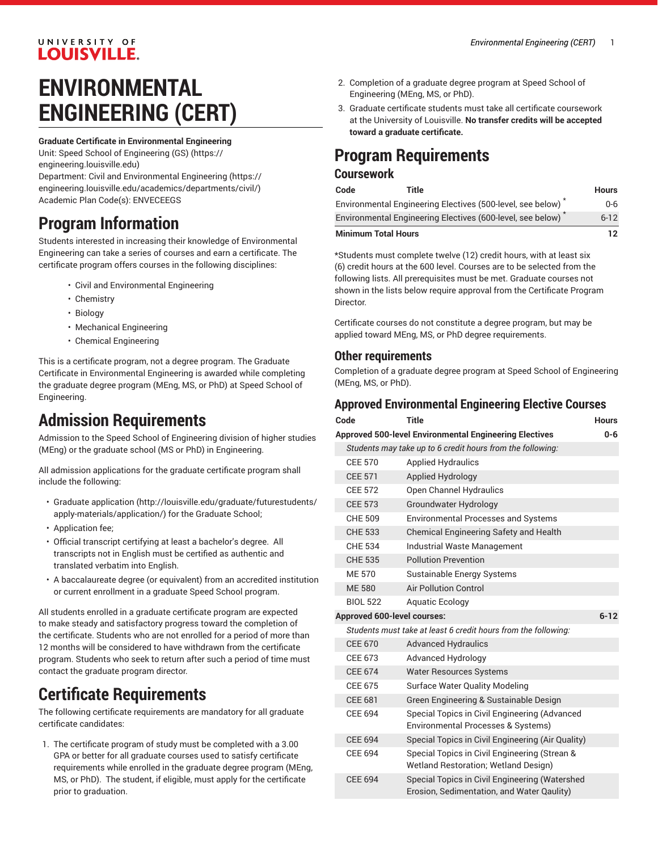#### UNIVERSITY OF **LOUISVILLE.**

## **ENVIRONMENTAL ENGINEERING (CERT)**

**Graduate Certificate in Environmental Engineering** Unit: [Speed School of Engineering \(GS\) \(https://](https://engineering.louisville.edu)

[engineering.louisville.edu](https://engineering.louisville.edu)) Department: Civil and [Environmental](https://engineering.louisville.edu/academics/departments/civil/) Engineering [\(https://](https://engineering.louisville.edu/academics/departments/civil/) [engineering.louisville.edu/academics/departments/civil/](https://engineering.louisville.edu/academics/departments/civil/)) Academic Plan Code(s): ENVECEEGS

### **Program Information**

Students interested in increasing their knowledge of Environmental Engineering can take a series of courses and earn a certificate. The certificate program offers courses in the following disciplines:

- Civil and Environmental Engineering
- Chemistry
- Biology
- Mechanical Engineering
- Chemical Engineering

This is a certificate program, not a degree program. The Graduate Certificate in Environmental Engineering is awarded while completing the graduate degree program (MEng, MS, or PhD) at Speed School of Engineering.

### **Admission Requirements**

Admission to the Speed School of Engineering division of higher studies (MEng) or the graduate school (MS or PhD) in Engineering.

All admission applications for the graduate certificate program shall include the following:

- [Graduate application](http://louisville.edu/graduate/futurestudents/apply-materials/application/) ([http://louisville.edu/graduate/futurestudents/](http://louisville.edu/graduate/futurestudents/apply-materials/application/) [apply-materials/application/](http://louisville.edu/graduate/futurestudents/apply-materials/application/)) for the Graduate School;
- Application fee;
- Official transcript certifying at least a bachelor's degree. All transcripts not in English must be certified as authentic and translated verbatim into English.
- A baccalaureate degree (or equivalent) from an accredited institution or current enrollment in a graduate Speed School program.

All students enrolled in a graduate certificate program are expected to make steady and satisfactory progress toward the completion of the certificate. Students who are not enrolled for a period of more than 12 months will be considered to have withdrawn from the certificate program. Students who seek to return after such a period of time must contact the graduate program director.

### **Certificate Requirements**

The following certificate requirements are mandatory for all graduate certificate candidates:

1. The certificate program of study must be completed with a 3.00 GPA or better for all graduate courses used to satisfy certificate requirements while enrolled in the graduate degree program (MEng, MS, or PhD). The student, if eligible, must apply for the certificate prior to graduation.

- 2. Completion of a graduate degree program at Speed School of Engineering (MEng, MS, or PhD).
- 3. Graduate certificate students must take all certificate coursework at the University of Louisville. **No transfer credits will be accepted toward a graduate certificate.**

### **Program Requirements**

#### **Coursework**

| Code                                                                    | Title | <b>Hours</b> |
|-------------------------------------------------------------------------|-------|--------------|
| Environmental Engineering Electives (500-level, see below) <sup>*</sup> |       |              |
| Environmental Engineering Electives (600-level, see below)              |       |              |
| <b>Minimum Total Hours</b>                                              |       | 12           |

\*Students must complete twelve (12) credit hours, with at least six (6) credit hours at the 600 level. Courses are to be selected from the following lists. All prerequisites must be met. Graduate courses not shown in the lists below require approval from the Certificate Program Director.

Certificate courses do not constitute a degree program, but may be applied toward MEng, MS, or PhD degree requirements.

#### **Other requirements**

Completion of a graduate degree program at Speed School of Engineering (MEng, MS, or PhD).

#### **Approved Environmental Engineering Elective Courses**

|                             | Code            | <b>Title</b>                                                                                 | <b>Hours</b> |
|-----------------------------|-----------------|----------------------------------------------------------------------------------------------|--------------|
|                             |                 | <b>Approved 500-level Environmental Engineering Electives</b>                                | 0-6          |
|                             |                 | Students may take up to 6 credit hours from the following:                                   |              |
|                             | <b>CEE 570</b>  | <b>Applied Hydraulics</b>                                                                    |              |
|                             | <b>CEE 571</b>  | Applied Hydrology                                                                            |              |
|                             | CFF 572         | Open Channel Hydraulics                                                                      |              |
|                             | <b>CEE 573</b>  | Groundwater Hydrology                                                                        |              |
|                             | <b>CHE 509</b>  | <b>Environmental Processes and Systems</b>                                                   |              |
|                             | <b>CHE 533</b>  | Chemical Engineering Safety and Health                                                       |              |
|                             | <b>CHE 534</b>  | Industrial Waste Management                                                                  |              |
|                             | <b>CHE 535</b>  | <b>Pollution Prevention</b>                                                                  |              |
|                             | <b>ME 570</b>   | Sustainable Energy Systems                                                                   |              |
|                             | <b>ME 580</b>   | <b>Air Pollution Control</b>                                                                 |              |
|                             | <b>BIOL 522</b> | <b>Aquatic Ecology</b>                                                                       |              |
| Approved 600-level courses: |                 |                                                                                              |              |
|                             |                 | Students must take at least 6 credit hours from the following:                               |              |
|                             | <b>CEE 670</b>  | <b>Advanced Hydraulics</b>                                                                   |              |
|                             | CEE 673         | Advanced Hydrology                                                                           |              |
|                             | <b>CEE 674</b>  | <b>Water Resources Systems</b>                                                               |              |
|                             | <b>CEE 675</b>  | Surface Water Quality Modeling                                                               |              |
|                             | <b>CEE 681</b>  | Green Engineering & Sustainable Design                                                       |              |
|                             | <b>CEE 694</b>  | Special Topics in Civil Engineering (Advanced<br>Environmental Processes & Systems)          |              |
|                             | <b>CEE 694</b>  | Special Topics in Civil Engineering (Air Quality)                                            |              |
|                             | <b>CEE 694</b>  | Special Topics in Civil Engineering (Strean &<br>Wetland Restoration; Wetland Design)        |              |
|                             | <b>CEE 694</b>  | Special Topics in Civil Engineering (Watershed<br>Erosion, Sedimentation, and Water Qaulity) |              |
|                             |                 |                                                                                              |              |